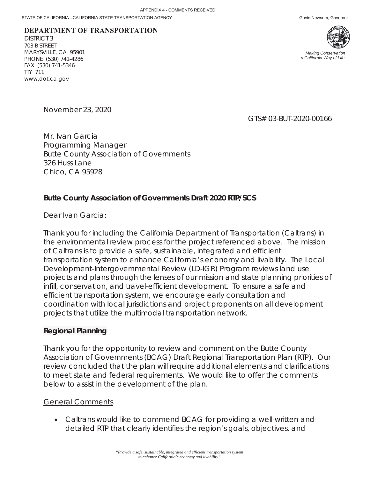# **DEPARTMENT OF TRANSPORTATION**

DISTRICT 3 703 B STREET MARYSVILLE, CA 95901 PHONE (530) 741-4286 FAX (530) 741-5346 TTY 711 www.dot.ca.gov



*Making Conservation a California Way of Life.*

November 23, 2020

GTS# 03-BUT-2020-00166

Mr. Ivan Garcia Programming Manager Butte County Association of Governments 326 Huss Lane Chico, CA 95928

#### **Butte County Association of Governments Draft 2020 RTP/SCS**

Dear Ivan Garcia:

Thank you for including the California Department of Transportation (Caltrans) in the environmental review process for the project referenced above. The mission of Caltrans is to provide a safe, sustainable, integrated and efficient transportation system to enhance California's economy and livability. The Local Development-Intergovernmental Review (LD-IGR) Program reviews land use projects and plans through the lenses of our mission and state planning priorities of infill, conservation, and travel-efficient development. To ensure a safe and efficient transportation system, we encourage early consultation and coordination with local jurisdictions and project proponents on all development projects that utilize the multimodal transportation network.

#### **Regional Planning**

Thank you for the opportunity to review and comment on the Butte County Association of Governments (BCAG) Draft Regional Transportation Plan (RTP). Our review concluded that the plan will require additional elements and clarifications to meet state and federal requirements. We would like to offer the comments below to assist in the development of the plan.

#### General Comments

• Caltrans would like to commend BCAG for providing a well-written and detailed RTP that clearly identifies the region's goals, objectives, and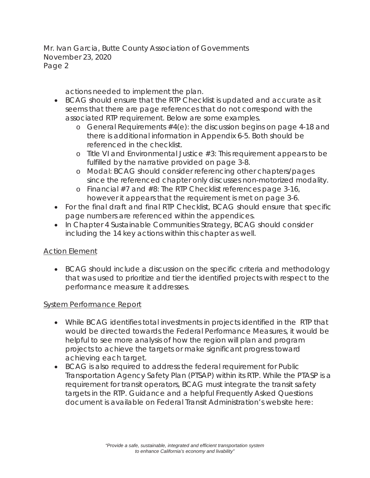actions needed to implement the plan.

- x BCAG should ensure that the RTP Checklist is updated and accurate as it seems that there are page references that do not correspond with the associated RTP requirement. Below are some examples.
	- o General Requirements #4(e): the discussion begins on page 4-18 and there is additional information in Appendix 6-5. Both should be referenced in the checklist.
	- o Title VI and Environmental Justice #3: This requirement appears to be fulfilled by the narrative provided on page 3-8.
	- o Modal: BCAG should consider referencing other chapters/pages since the referenced chapter only discusses non-motorized modality.
	- o Financial #7 and #8: The RTP Checklist references page 3-16, however it appears that the requirement is met on page 3-6.
- For the final draft and final RTP Checklist, BCAG should ensure that specific page numbers are referenced within the appendices.
- In Chapter 4 Sustainable Communities Strategy, BCAG should consider including the 14 key actions within this chapter as well.

# Action Element

• BCAG should include a discussion on the specific criteria and methodology that was used to prioritize and tier the identified projects with respect to the performance measure it addresses.

# **System Performance Report**

- While BCAG identifies total investments in projects identified in the RTP that would be directed towards the Federal Performance Measures, it would be helpful to see more analysis of how the region will plan and program projects to achieve the targets or make significant progress toward achieving each target.
- BCAG is also required to address the federal requirement for Public Transportation Agency Safety Plan (PTSAP) within its RTP. While the PTASP is a requirement for transit operators, BCAG must integrate the transit safety targets in the RTP. Guidance and a helpful Frequently Asked Questions document is available on Federal Transit Administration's website here: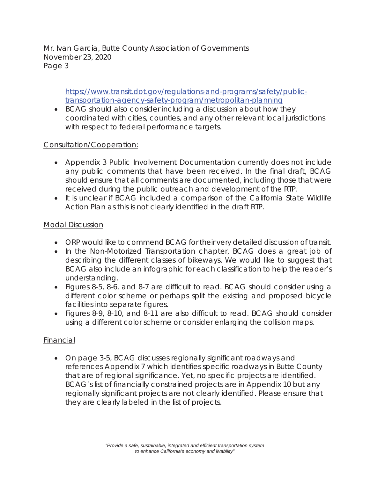> https://www.transit.dot.gov/regulations-and-programs/safety/publictransportation-agency-safety-program/metropolitan-planning

• BCAG should also consider including a discussion about how they coordinated with cities, counties, and any other relevant local jurisdictions with respect to federal performance targets.

## Consultation/Cooperation:

- Appendix 3 Public Involvement Documentation currently does not include any public comments that have been received. In the final draft, BCAG should ensure that all comments are documented, including those that were received during the public outreach and development of the RTP.
- It is unclear if BCAG included a comparison of the California State Wildlife Action Plan as this is not clearly identified in the draft RTP.

## Modal Discussion

- ORP would like to commend BCAG for their very detailed discussion of transit.
- In the Non-Motorized Transportation chapter, BCAG does a great job of describing the different classes of bikeways. We would like to suggest that BCAG also include an infographic for each classification to help the reader's understanding.
- Figures 8-5, 8-6, and 8-7 are difficult to read. BCAG should consider using a different color scheme or perhaps split the existing and proposed bicycle facilities into separate figures.
- Figures 8-9, 8-10, and 8-11 are also difficult to read. BCAG should consider using a different color scheme or consider enlarging the collision maps.

# Financial

• On page 3-5, BCAG discusses regionally significant roadways and references Appendix 7 which identifies specific roadways in Butte County that are of regional significance. Yet, no specific projects are identified. BCAG's list of financially constrained projects are in Appendix 10 but any regionally significant projects are not clearly identified. Please ensure that they are clearly labeled in the list of projects.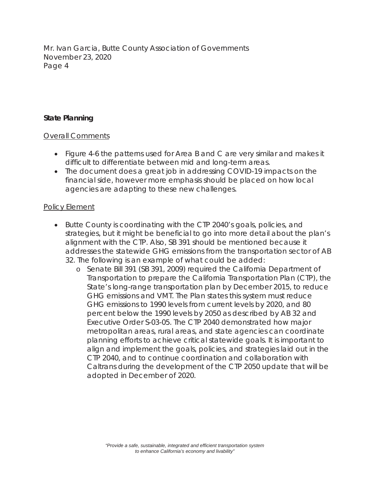## **State Planning**

## Overall Comments

- Figure 4-6 the patterns used for Area B and C are very similar and makes it difficult to differentiate between mid and long-term areas.
- The document does a great job in addressing COVID-19 impacts on the financial side, however more emphasis should be placed on how local agencies are adapting to these new challenges.

## Policy Element

- Butte County is coordinating with the CTP 2040's goals, policies, and strategies, but it might be beneficial to go into more detail about the plan's alignment with the CTP. Also, SB 391 should be mentioned because it addresses the statewide GHG emissions from the transportation sector of AB 32. The following is an example of what could be added:
	- o Senate Bill 391 (SB 391, 2009) required the California Department of Transportation to prepare the California Transportation Plan (CTP), the State's long-range transportation plan by December 2015, to reduce GHG emissions and VMT. The Plan states this system must reduce GHG emissions to 1990 levels from current levels by 2020, and 80 percent below the 1990 levels by 2050 as described by AB 32 and Executive Order S-03-05. The CTP 2040 demonstrated how major metropolitan areas, rural areas, and state agencies can coordinate planning efforts to achieve critical statewide goals. It is important to align and implement the goals, policies, and strategies laid out in the CTP 2040, and to continue coordination and collaboration with Caltrans during the development of the CTP 2050 update that will be adopted in December of 2020.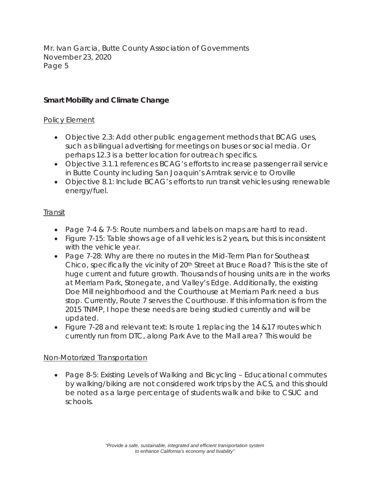# **Smart Mobility and Climate Change**

## Policy Element

- Objective 2.3: Add other public engagement methods that BCAG uses, such as bilingual advertising for meetings on buses or social media. Or perhaps 12.3 is a better location for outreach specifics.
- Objective 3.1.1 references BCAG's efforts to increase passenger rail service in Butte County including San Joaquin's Amtrak service to Oroville
- Objective 8.1: Include BCAG's efforts to run transit vehicles using renewable energy/fuel.

## Transit

- Page 7-4 & 7-5: Route numbers and labels on maps are hard to read.
- Figure 7-15: Table shows age of all vehicles is 2 years, but this is inconsistent with the vehicle year.
- Page 7-28: Why are there no routes in the Mid-Term Plan for Southeast Chico, specifically the vicinity of 20th Street at Bruce Road? This is the site of huge current and future growth. Thousands of housing units are in the works at Merriam Park, Stonegate, and Valley's Edge. Additionally, the existing Doe Mill neighborhood and the Courthouse at Merriam Park need a bus stop. Currently, Route 7 serves the Courthouse. If this information is from the 2015 TNMP, I hope these needs are being studied currently and will be updated.
- Figure 7-28 and relevant text: Is route 1 replacing the 14  $&17$  routes which currently run from DTC, along Park Ave to the Mall area? This would be

## Non-Motorized Transportation

• Page 8-5: Existing Levels of Walking and Bicycling – Educational commutes by walking/biking are not considered work trips by the ACS, and this should be noted as a large percentage of students walk and bike to CSUC and schools.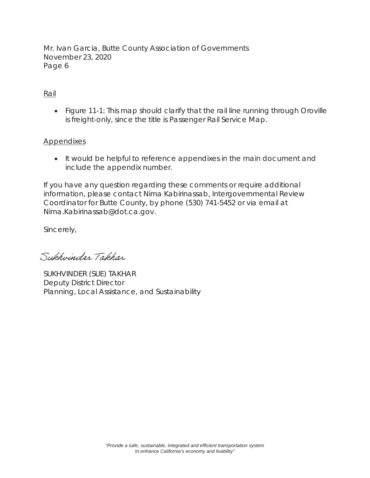## Rail

• Figure 11-1: This map should clarify that the rail line running through Oroville is freight-only, since the title is Passenger Rail Service Map.

# **Appendixes**

x It would be helpful to reference appendixes in the main document and include the appendix number.

If you have any question regarding these comments or require additional information, please contact Nima Kabirinassab, Intergovernmental Review Coordinator for Butte County, by phone (530) 741-5452 or via email at Nima.Kabirinassab@dot.ca.gov.

Sincerely,

Sukhwinder Takhar

SUKHVINDER (SUE) TAKHAR Deputy District Director Planning, Local Assistance, and Sustainability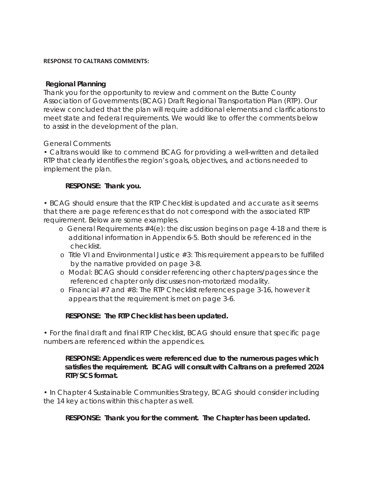#### **RESPONSE TO CALTRANS COMMENTS:**

#### **Regional Planning**

Thank you for the opportunity to review and comment on the Butte County Association of Governments (BCAG) Draft Regional Transportation Plan (RTP). Our review concluded that the plan will require additional elements and clarifications to meet state and federal requirements. We would like to offer the comments below to assist in the development of the plan.

## General Comments

• Caltrans would like to commend BCAG for providing a well-written and detailed RTP that clearly identifies the region's goals, objectives, and actions needed to implement the plan.

## **RESPONSE: Thank you.**

• BCAG should ensure that the RTP Checklist is updated and accurate as it seems that there are page references that do not correspond with the associated RTP requirement. Below are some examples.

- o General Requirements #4(e): the discussion begins on page 4-18 and there is additional information in Appendix 6-5. Both should be referenced in the checklist.
- $\circ$  Title VI and Environmental Justice  $\#3$ : This requirement appears to be fulfilled by the narrative provided on page 3-8.
- o Modal: BCAG should consider referencing other chapters/pages since the referenced chapter only discusses non-motorized modality.
- o Financial #7 and #8: The RTP Checklist references page 3-16, however it appears that the requirement is met on page 3-6.

## **RESPONSE: The RTP Checklist has been updated.**

• For the final draft and final RTP Checklist, BCAG should ensure that specific page numbers are referenced within the appendices.

## **RESPONSE: Appendices were referenced due to the numerous pages which satisfies the requirement. BCAG will consult with Caltrans on a preferred 2024 RTP/SCS format.**

• In Chapter 4 Sustainable Communities Strategy, BCAG should consider including the 14 key actions within this chapter as well.

**RESPONSE: Thank you for the comment. The Chapter has been updated.**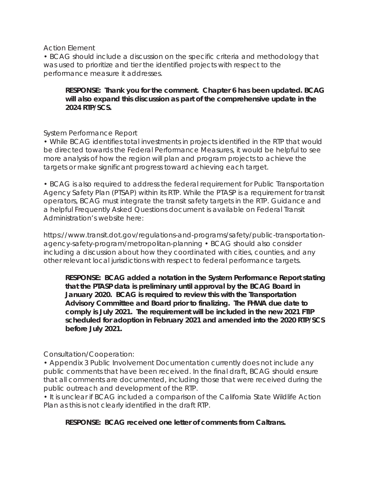Action Element

• BCAG should include a discussion on the specific criteria and methodology that was used to prioritize and tier the identified projects with respect to the performance measure it addresses.

## **RESPONSE: Thank you for the comment. Chapter 6 has been updated. BCAG will also expand this discussion as part of the comprehensive update in the 2024 RTP/SCS.**

System Performance Report

• While BCAG identifies total investments in projects identified in the RTP that would be directed towards the Federal Performance Measures, it would be helpful to see more analysis of how the region will plan and program projects to achieve the targets or make significant progress toward achieving each target.

• BCAG is also required to address the federal requirement for Public Transportation Agency Safety Plan (PTSAP) within its RTP. While the PTASP is a requirement for transit operators, BCAG must integrate the transit safety targets in the RTP. Guidance and a helpful Frequently Asked Questions document is available on Federal Transit Administration's website here:

https://www.transit.dot.gov/regulations-and-programs/safety/public-transportationagency-safety-program/metropolitan-planning • BCAG should also consider including a discussion about how they coordinated with cities, counties, and any other relevant local jurisdictions with respect to federal performance targets.

**RESPONSE: BCAG added a notation in the System Performance Report stating that the PTASP data is preliminary until approval by the BCAG Board in January 2020. BCAG is required to review this with the Transportation Advisory Committee and Board prior to finalizing. The FHWA due date to comply is July 2021. The requirement will be included in the new 2021 FTIP scheduled for adoption in February 2021 and amended into the 2020 RTP/SCS before July 2021.**

#### Consultation/Cooperation:

• Appendix 3 Public Involvement Documentation currently does not include any public comments that have been received. In the final draft, BCAG should ensure that all comments are documented, including those that were received during the public outreach and development of the RTP.

• It is unclear if BCAG included a comparison of the California State Wildlife Action Plan as this is not clearly identified in the draft RTP.

#### **RESPONSE: BCAG received one letter of comments from Caltrans.**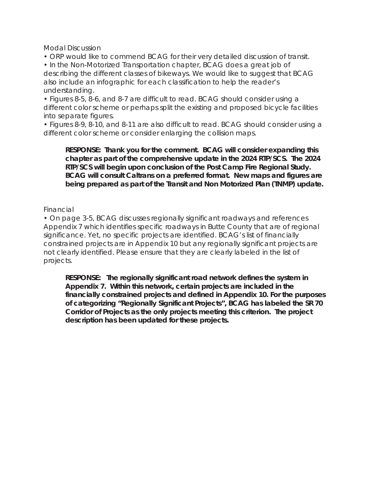Modal Discussion

• ORP would like to commend BCAG for their very detailed discussion of transit.

• In the Non-Motorized Transportation chapter, BCAG does a great job of describing the different classes of bikeways. We would like to suggest that BCAG also include an infographic for each classification to help the reader's understanding.

• Figures 8-5, 8-6, and 8-7 are difficult to read. BCAG should consider using a different color scheme or perhaps split the existing and proposed bicycle facilities into separate figures.

• Figures 8-9, 8-10, and 8-11 are also difficult to read. BCAG should consider using a different color scheme or consider enlarging the collision maps.

#### **RESPONSE: Thank you for the comment. BCAG will consider expanding this chapter as part of the comprehensive update in the 2024 RTP/SCS. The 2024 RTP/SCS will begin upon conclusion of the Post Camp Fire Regional Study. BCAG will consult Caltrans on a preferred format. New maps and figures are being prepared as part of the Transit and Non Motorized Plan (TNMP) update.**

Financial

• On page 3-5, BCAG discusses regionally significant roadways and references Appendix 7 which identifies specific roadways in Butte County that are of regional significance. Yet, no specific projects are identified. BCAG's list of financially constrained projects are in Appendix 10 but any regionally significant projects are not clearly identified. Please ensure that they are clearly labeled in the list of projects.

**RESPONSE: The regionally significant road network defines the system in Appendix 7. Within this network, certain projects are included in the financially constrained projects and defined in Appendix 10. For the purposes of categorizing "Regionally Significant Projects", BCAG has labeled the SR 70 Corridor of Projects as the only projects meeting this criterion. The project description has been updated for these projects.**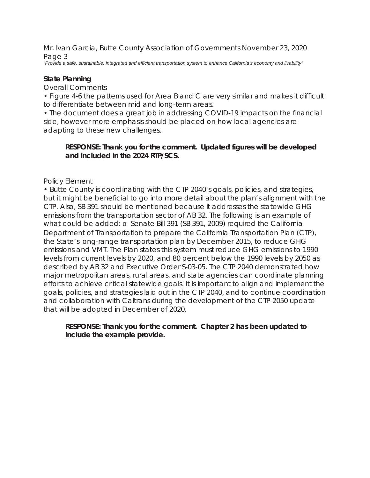*"Provide a safe, sustainable, integrated and efficient transportation system to enhance California's economy and livability"* 

#### **State Planning**

Overall Comments

• Figure 4-6 the patterns used for Area B and C are very similar and makes it difficult to differentiate between mid and long-term areas.

• The document does a great job in addressing COVID-19 impacts on the financial side, however more emphasis should be placed on how local agencies are adapting to these new challenges.

## **RESPONSE: Thank you for the comment. Updated figures will be developed and included in the 2024 RTP/SCS.**

## Policy Element

• Butte County is coordinating with the CTP 2040's goals, policies, and strategies, but it might be beneficial to go into more detail about the plan's alignment with the CTP. Also, SB 391 should be mentioned because it addresses the statewide GHG emissions from the transportation sector of AB 32. The following is an example of what could be added: o Senate Bill 391 (SB 391, 2009) required the California Department of Transportation to prepare the California Transportation Plan (CTP), the State's long-range transportation plan by December 2015, to reduce GHG emissions and VMT. The Plan states this system must reduce GHG emissions to 1990 levels from current levels by 2020, and 80 percent below the 1990 levels by 2050 as described by AB 32 and Executive Order S-03-05. The CTP 2040 demonstrated how major metropolitan areas, rural areas, and state agencies can coordinate planning efforts to achieve critical statewide goals. It is important to align and implement the goals, policies, and strategies laid out in the CTP 2040, and to continue coordination and collaboration with Caltrans during the development of the CTP 2050 update that will be adopted in December of 2020.

#### **RESPONSE: Thank you for the comment. Chapter 2 has been updated to include the example provide.**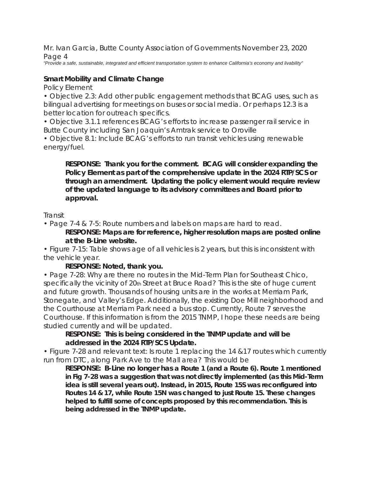*"Provide a safe, sustainable, integrated and efficient transportation system to enhance California's economy and livability"* 

## **Smart Mobility and Climate Change**

Policy Element

• Objective 2.3: Add other public engagement methods that BCAG uses, such as bilingual advertising for meetings on buses or social media. Or perhaps 12.3 is a better location for outreach specifics.

• Objective 3.1.1 references BCAG's efforts to increase passenger rail service in Butte County including San Joaquin's Amtrak service to Oroville

• Objective 8.1: Include BCAG's efforts to run transit vehicles using renewable energy/fuel.

**RESPONSE: Thank you for the comment. BCAG will consider expanding the Policy Element as part of the comprehensive update in the 2024 RTP/SCS or through an amendment. Updating the policy element would require review of the updated language to its advisory committees and Board prior to approval.** 

#### Transit

• Page 7-4 & 7-5: Route numbers and labels on maps are hard to read.

**RESPONSE: Maps are for reference, higher resolution maps are posted online at the B-Line website.**

• Figure 7-15: Table shows age of all vehicles is 2 years, but this is inconsistent with the vehicle year.

## **RESPONSE: Noted, thank you.**

• Page 7-28: Why are there no routes in the Mid-Term Plan for Southeast Chico, specifically the vicinity of 20th Street at Bruce Road? This is the site of huge current and future growth. Thousands of housing units are in the works at Merriam Park, Stonegate, and Valley's Edge. Additionally, the existing Doe Mill neighborhood and the Courthouse at Merriam Park need a bus stop. Currently, Route 7 serves the Courthouse. If this information is from the 2015 TNMP, I hope these needs are being studied currently and will be updated.

## **RESPONSE: This is being considered in the TNMP update and will be addressed in the 2024 RTP/SCS Update.**

• Figure 7-28 and relevant text: Is route 1 replacing the 14 &17 routes which currently run from DTC, along Park Ave to the Mall area? This would be

**RESPONSE: B-Line no longer has a Route 1 (and a Route 6). Route 1 mentioned in Fig 7-28 was a suggestion that was not directly implemented (as this Mid-Term idea is still several years out). Instead, in 2015, Route 15S was reconfigured into Routes 14 & 17, while Route 15N was changed to just Route 15. These changes helped to fulfill some of concepts proposed by this recommendation. This is being addressed in the TNMP update.**